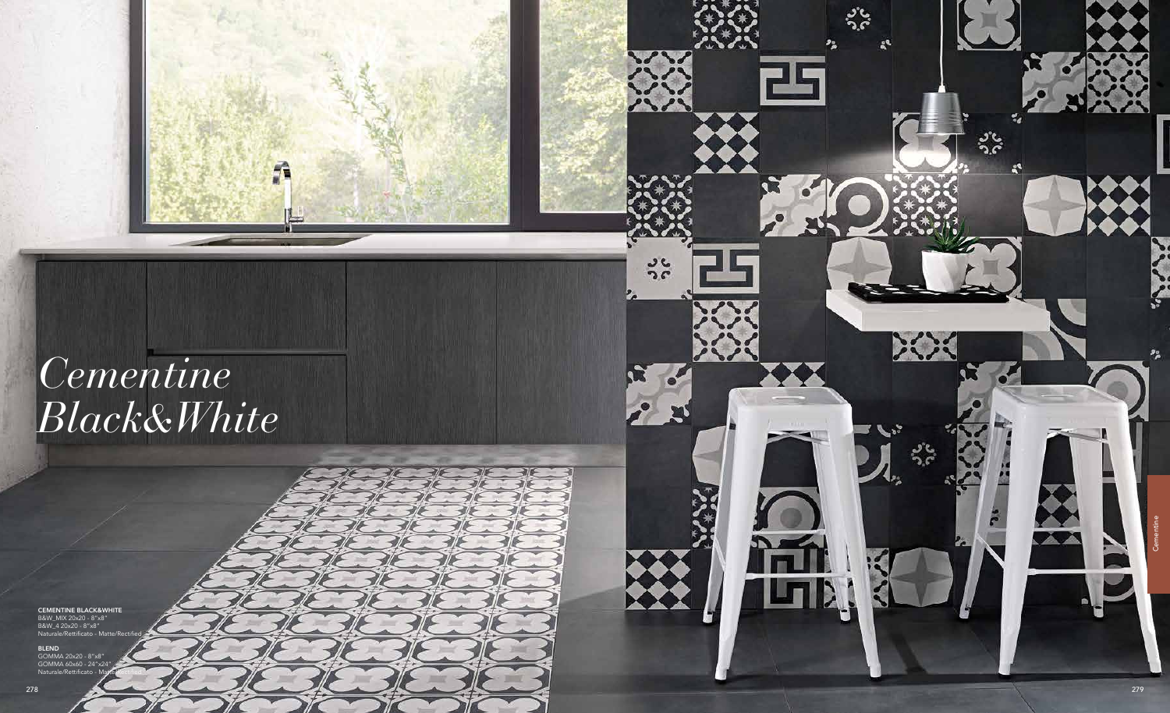

 $rac{3}{2}$ 

# *Cementine Black&White*

A

CEMENTINE BLACK&WHITE B&W\_MIX 20x20 - 8"x8" B&W\_4 20x20 - 8"x8"

Naturale/Rettificato - Matte/Rectified

BLEND GOMMA 20x20 - 8"x8"

GOMMA 60x60 - 24"x24" Naturale/Rettificato - Matte/Rectified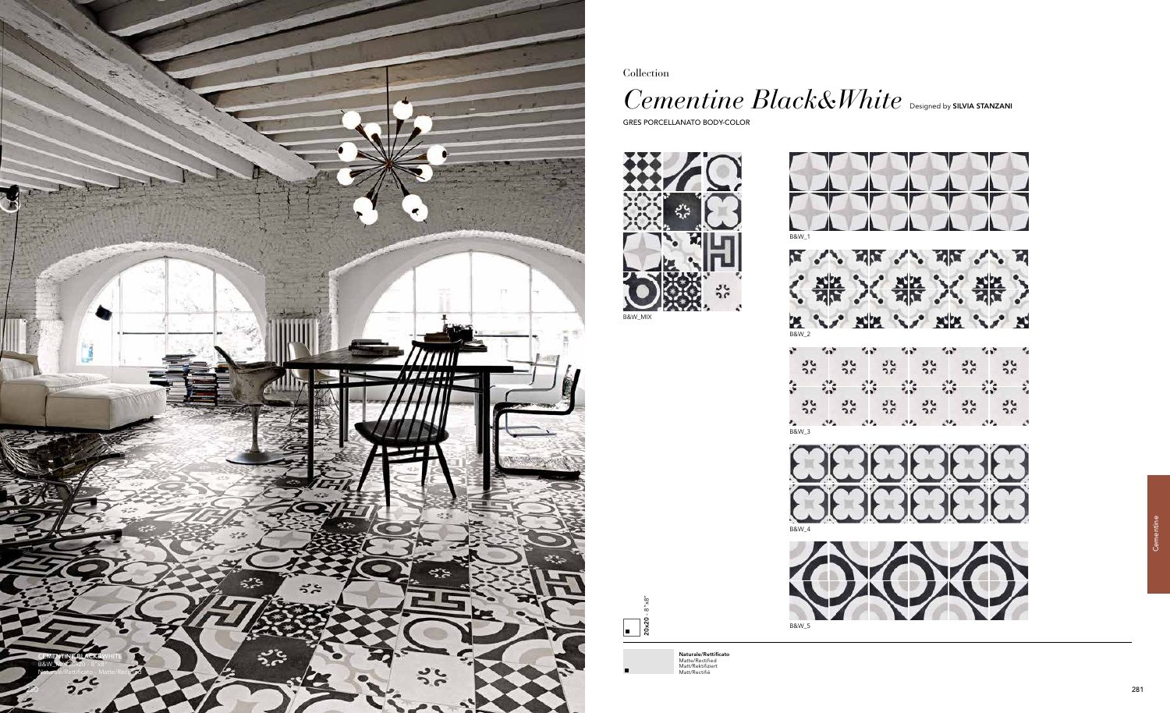Collection

## Cementine Black&White **Designed by SILVIA STANZANI**

GRES PORCELLANATO BODY-COLOR

20x20 - 8"x8"  $\boxed{\phantom{1}}$  Cementine





Naturale/Rettificato Matte/Rectified Matt/Rektifiziert Matt/Rectifié





骆 ☆  $\sim$  $5c$  $36$  $5c$  $56$  $5c$  $\frac{3}{2}$  $\mathcal{O}_\mathbf{A}$  $\mathcal{L}^{\mathbf{p}}$  $B$ <sub>8</sub> $\overline{B}$ or.  $22.$  $\mathcal{L}^{\bullet}$  $\mathcal{D}$